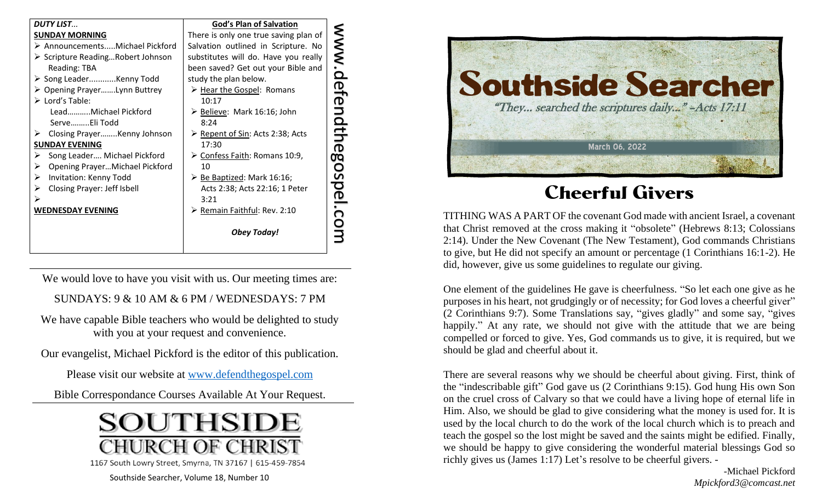| <b>DUTY LIST</b>                                 | <b>God's Plan of Salvation</b>                    |
|--------------------------------------------------|---------------------------------------------------|
| <b>SUNDAY MORNING</b>                            | There is only one true saving plan of             |
| > AnnouncementsMichael Pickford                  | Salvation outlined in Scripture. No               |
| $\triangleright$ Scripture ReadingRobert Johnson | substitutes will do. Have you really              |
| Reading: TBA                                     | been saved? Get out your Bible and                |
| > Song LeaderKenny Todd                          | study the plan below.                             |
| ≻ Opening PrayerLynn Buttrey                     | > Hear the Gospel: Romans                         |
| $\triangleright$ Lord's Table:                   | 10:17                                             |
| LeadMichael Pickford                             | Believe: Mark 16:16; John                         |
| ServeEli Todd                                    | 8:24                                              |
| Closing PrayerKenny Johnson<br>➤                 | ▶ Repent of Sin: Acts 2:38; Acts                  |
| <b>SUNDAY EVENING</b>                            | 17:30                                             |
| Song Leader Michael Pickford<br>➤                | > Confess Faith: Romans 10:9,                     |
| Opening PrayerMichael Pickford<br>➤              | 10                                                |
| Invitation: Kenny Todd<br>➤                      | $\triangleright$ <u>Be Baptized</u> : Mark 16:16; |
| Closing Prayer: Jeff Isbell<br>➤                 | Acts 2:38; Acts 22:16; 1 Peter                    |
| ⋗                                                | 3:21                                              |
| <b>WEDNESDAY EVENING</b>                         | ▶ Remain Faithful: Rev. 2:10                      |
|                                                  | <b>Obey Today!</b>                                |

We would love to have you visit with us. Our meeting times are:

SUNDAYS: 9 & 10 AM & 6 PM / WEDNESDAYS: 7 PM

We have capable Bible teachers who would be delighted to study with you at your request and convenience.

Our evangelist, Michael Pickford is the editor of this publication.

Please visit our website at [www.defendthegospel.com](http://www.defendthegospel.com/)

Bible Correspondance Courses Available At Your Request.



Southside Searcher, Volume 18, Number 10



## Cheerful Givers

TITHING WAS A PART OF the covenant God made with ancient Israel, a covenant that Christ removed at the cross making it "obsolete" (Hebrews 8:13; Colossians 2:14). Under the New Covenant (The New Testament), God commands Christians to give, but He did not specify an amount or percentage (1 Corinthians 16:1-2). He did, however, give us some guidelines to regulate our giving.

One element of the guidelines He gave is cheerfulness. "So let each one give as he purposes in his heart, not grudgingly or of necessity; for God loves a cheerful giver" (2 Corinthians 9:7). Some Translations say, "gives gladly" and some say, "gives happily." At any rate, we should not give with the attitude that we are being compelled or forced to give. Yes, God commands us to give, it is required, but we should be glad and cheerful about it.

There are several reasons why we should be cheerful about giving. First, think of the "indescribable gift" God gave us (2 Corinthians 9:15). God hung His own Son on the cruel cross of Calvary so that we could have a living hope of eternal life in Him. Also, we should be glad to give considering what the money is used for. It is used by the local church to do the work of the local church which is to preach and teach the gospel so the lost might be saved and the saints might be edified. Finally, we should be happy to give considering the wonderful material blessings God so richly gives us (James 1:17) Let's resolve to be cheerful givers. -

> -Michael Pickford *Mpickford3@comcast.net*